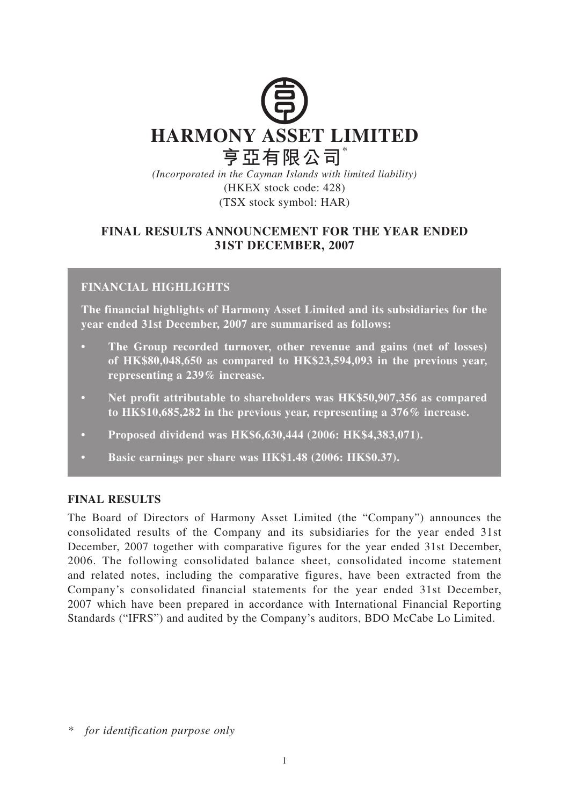

*(Incorporated in the Cayman Islands with limited liability)* (HKEX stock code: 428) (TSX stock symbol: HAR)

# **FINAL RESULTS ANNOUNCEMENT FOR THE YEAR ENDED 31ST DECEMBER, 2007**

# **FINANCIAL HIGHLIGHTS**

**The financial highlights of Harmony Asset Limited and its subsidiaries for the year ended 31st December, 2007 are summarised as follows:**

- **The Group recorded turnover, other revenue and gains (net of losses) of HK\$80,048,650 as compared to HK\$23,594,093 in the previous year, representing a 239% increase.**
- **Net profit attributable to shareholders was HK\$50,907,356 as compared to HK\$10,685,282 in the previous year, representing a 376% increase.**
- **Proposed dividend was HK\$6,630,444 (2006: HK\$4,383,071).**
- **Basic earnings per share was HK\$1.48 (2006: HK\$0.37).**

## **FINAL RESULTS**

The Board of Directors of Harmony Asset Limited (the "Company") announces the consolidated results of the Company and its subsidiaries for the year ended 31st December, 2007 together with comparative figures for the year ended 31st December, 2006. The following consolidated balance sheet, consolidated income statement and related notes, including the comparative figures, have been extracted from the Company's consolidated financial statements for the year ended 31st December, 2007 which have been prepared in accordance with International Financial Reporting Standards ("IFRS") and audited by the Company's auditors, BDO McCabe Lo Limited.

*\* for identification purpose only*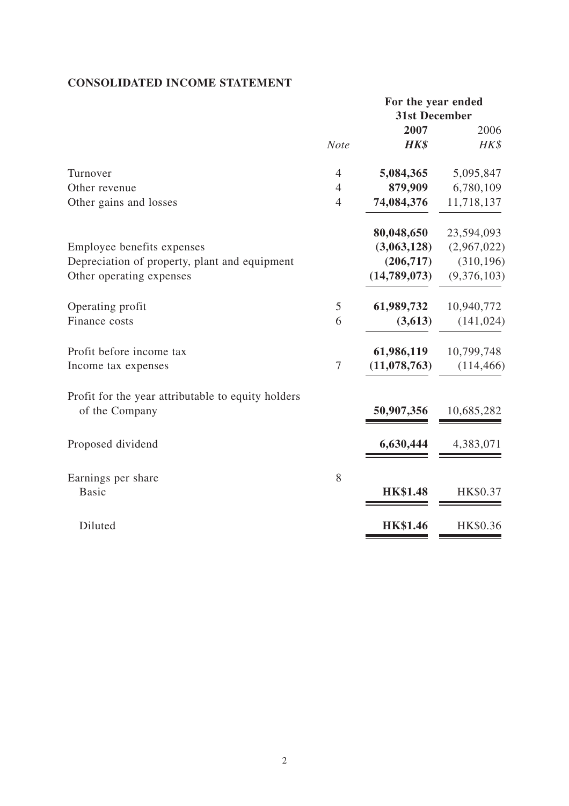# **CONSOLIDATED INCOME STATEMENT**

|                                                    | For the year ended |                      |             |
|----------------------------------------------------|--------------------|----------------------|-------------|
|                                                    |                    | <b>31st December</b> |             |
|                                                    |                    | 2007                 | 2006        |
|                                                    | <b>Note</b>        | HK\$                 | HK\$        |
| Turnover                                           | $\overline{4}$     | 5,084,365            | 5,095,847   |
| Other revenue                                      | $\overline{4}$     | 879,909              | 6,780,109   |
| Other gains and losses                             | $\overline{4}$     | 74,084,376           | 11,718,137  |
|                                                    |                    | 80,048,650           | 23,594,093  |
| Employee benefits expenses                         |                    | (3,063,128)          | (2,967,022) |
| Depreciation of property, plant and equipment      |                    | (206,717)            | (310, 196)  |
| Other operating expenses                           |                    | (14,789,073)         | (9,376,103) |
| Operating profit                                   | 5                  | 61,989,732           | 10,940,772  |
| Finance costs                                      | 6                  | (3,613)              | (141, 024)  |
| Profit before income tax                           |                    | 61,986,119           | 10,799,748  |
| Income tax expenses                                | $\tau$             | (11, 078, 763)       | (114, 466)  |
| Profit for the year attributable to equity holders |                    |                      |             |
| of the Company                                     |                    | 50,907,356           | 10,685,282  |
| Proposed dividend                                  |                    | 6,630,444            | 4,383,071   |
| Earnings per share                                 | 8                  |                      |             |
| <b>Basic</b>                                       |                    | <b>HK\$1.48</b>      | HK\$0.37    |
| Diluted                                            |                    | <b>HK\$1.46</b>      | HK\$0.36    |
|                                                    |                    |                      |             |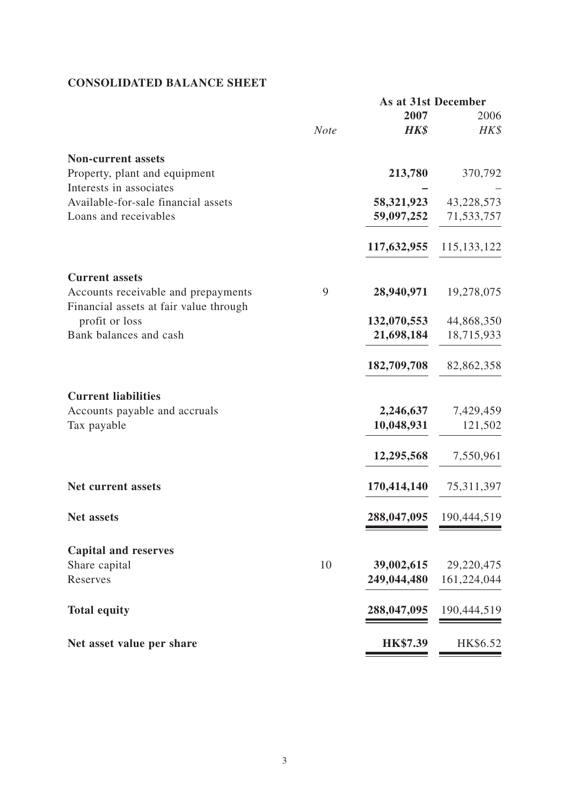# **CONSOLIDATED BALANCE SHEET**

|                                        |      | <b>As at 31st December</b> |               |
|----------------------------------------|------|----------------------------|---------------|
|                                        |      | 2007                       | 2006          |
|                                        | Note | <b>HK\$</b>                | HK\$          |
| <b>Non-current assets</b>              |      |                            |               |
| Property, plant and equipment          |      | 213,780                    | 370,792       |
| Interests in associates                |      |                            |               |
| Available-for-sale financial assets    |      | 58,321,923                 | 43,228,573    |
| Loans and receivables                  |      | 59,097,252                 | 71,533,757    |
|                                        |      | 117,632,955                | 115, 133, 122 |
| <b>Current assets</b>                  |      |                            |               |
| Accounts receivable and prepayments    | 9    | 28,940,971                 | 19,278,075    |
| Financial assets at fair value through |      |                            |               |
| profit or loss                         |      | 132,070,553                | 44,868,350    |
| Bank balances and cash                 |      | 21,698,184                 | 18,715,933    |
|                                        |      | 182,709,708                | 82,862,358    |
| <b>Current liabilities</b>             |      |                            |               |
| Accounts payable and accruals          |      | 2,246,637                  | 7,429,459     |
| Tax payable                            |      | 10,048,931                 | 121,502       |
|                                        |      | 12,295,568                 | 7,550,961     |
| <b>Net current assets</b>              |      | 170,414,140                | 75,311,397    |
| <b>Net assets</b>                      |      | 288,047,095                | 190,444,519   |
| <b>Capital and reserves</b>            |      |                            |               |
| Share capital                          | 10   | 39,002,615                 | 29,220,475    |
| Reserves                               |      | 249,044,480                | 161,224,044   |
|                                        |      |                            |               |
| <b>Total equity</b>                    |      | 288,047,095                | 190,444,519   |
| Net asset value per share              |      | <b>HK\$7.39</b>            | HK\$6.52      |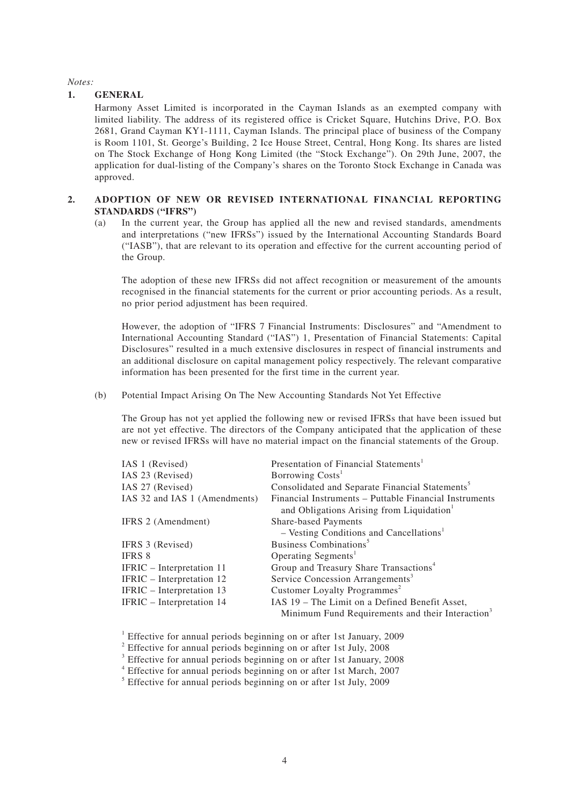*Notes:*

#### **1. GENERAL**

Harmony Asset Limited is incorporated in the Cayman Islands as an exempted company with limited liability. The address of its registered office is Cricket Square, Hutchins Drive, P.O. Box 2681, Grand Cayman KY1-1111, Cayman Islands. The principal place of business of the Company is Room 1101, St. George's Building, 2 Ice House Street, Central, Hong Kong. Its shares are listed on The Stock Exchange of Hong Kong Limited (the "Stock Exchange"). On 29th June, 2007, the application for dual-listing of the Company's shares on the Toronto Stock Exchange in Canada was approved.

### **2. ADOPTION OF NEW OR REVISED INTERNATIONAL FINANCIAL REPORTING STANDARDS ("IFRS")**

(a) In the current year, the Group has applied all the new and revised standards, amendments and interpretations ("new IFRSs") issued by the International Accounting Standards Board ("IASB"), that are relevant to its operation and effective for the current accounting period of the Group.

The adoption of these new IFRSs did not affect recognition or measurement of the amounts recognised in the financial statements for the current or prior accounting periods. As a result, no prior period adjustment has been required.

However, the adoption of "IFRS 7 Financial Instruments: Disclosures" and "Amendment to International Accounting Standard ("IAS") 1, Presentation of Financial Statements: Capital Disclosures" resulted in a much extensive disclosures in respect of financial instruments and an additional disclosure on capital management policy respectively. The relevant comparative information has been presented for the first time in the current year.

(b) Potential Impact Arising On The New Accounting Standards Not Yet Effective

The Group has not yet applied the following new or revised IFRSs that have been issued but are not yet effective. The directors of the Company anticipated that the application of these new or revised IFRSs will have no material impact on the financial statements of the Group.

| IAS 1 (Revised)               | Presentation of Financial Statements <sup>1</sup>                                                               |
|-------------------------------|-----------------------------------------------------------------------------------------------------------------|
| IAS 23 (Revised)              | Borrowing Costs <sup>1</sup>                                                                                    |
| IAS 27 (Revised)              | Consolidated and Separate Financial Statements <sup>5</sup>                                                     |
| IAS 32 and IAS 1 (Amendments) | Financial Instruments – Puttable Financial Instruments<br>and Obligations Arising from Liquidation <sup>1</sup> |
| IFRS 2 (Amendment)            | Share-based Payments                                                                                            |
|                               | $-$ Vesting Conditions and Cancellations <sup>1</sup>                                                           |
| IFRS 3 (Revised)              | Business Combinations <sup>5</sup>                                                                              |
| <b>IFRS 8</b>                 | Operating Segments <sup>1</sup>                                                                                 |
| IFRIC – Interpretation 11     | Group and Treasury Share Transactions <sup>4</sup>                                                              |
| IFRIC – Interpretation 12     | Service Concession Arrangements <sup>3</sup>                                                                    |
| IFRIC - Interpretation 13     | Customer Loyalty Programmes <sup>2</sup>                                                                        |
| IFRIC - Interpretation 14     | IAS 19 - The Limit on a Defined Benefit Asset,                                                                  |
|                               | Minimum Fund Requirements and their Interaction <sup>3</sup>                                                    |

<sup>1</sup> Effective for annual periods beginning on or after 1st January, 2009

<sup>2</sup> Effective for annual periods beginning on or after 1st July, 2008

<sup>3</sup> Effective for annual periods beginning on or after 1st January, 2008

4 Effective for annual periods beginning on or after 1st March, 2007

<sup>5</sup> Effective for annual periods beginning on or after 1st July, 2009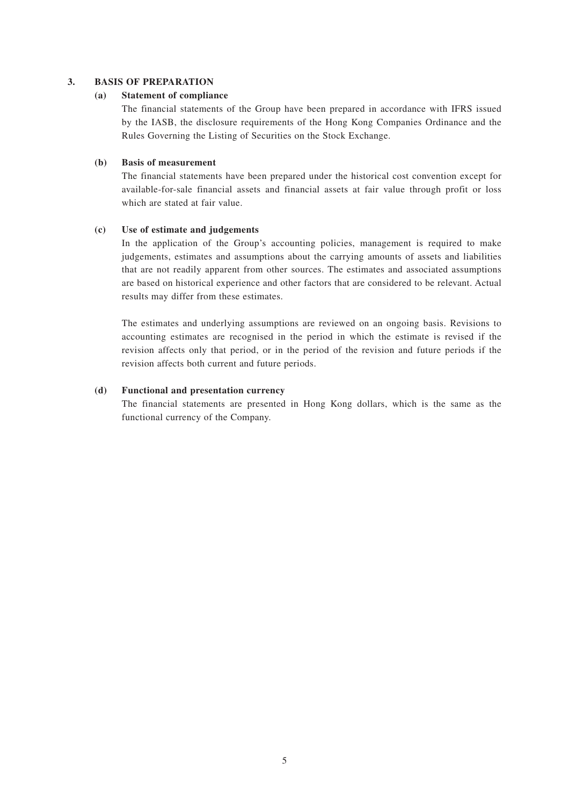### **3. BASIS OF PREPARATION**

### **(a) Statement of compliance**

The financial statements of the Group have been prepared in accordance with IFRS issued by the IASB, the disclosure requirements of the Hong Kong Companies Ordinance and the Rules Governing the Listing of Securities on the Stock Exchange.

## **(b) Basis of measurement**

The financial statements have been prepared under the historical cost convention except for available-for-sale financial assets and financial assets at fair value through profit or loss which are stated at fair value.

### **(c) Use of estimate and judgements**

In the application of the Group's accounting policies, management is required to make judgements, estimates and assumptions about the carrying amounts of assets and liabilities that are not readily apparent from other sources. The estimates and associated assumptions are based on historical experience and other factors that are considered to be relevant. Actual results may differ from these estimates.

The estimates and underlying assumptions are reviewed on an ongoing basis. Revisions to accounting estimates are recognised in the period in which the estimate is revised if the revision affects only that period, or in the period of the revision and future periods if the revision affects both current and future periods.

### **(d) Functional and presentation currency**

The financial statements are presented in Hong Kong dollars, which is the same as the functional currency of the Company.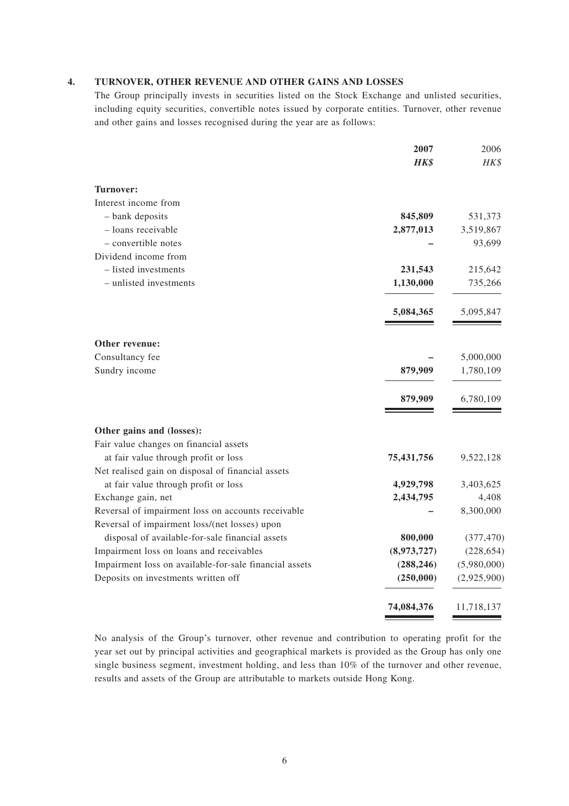### **4. TURNOVER, OTHER REVENUE AND OTHER GAINS AND LOSSES**

The Group principally invests in securities listed on the Stock Exchange and unlisted securities, including equity securities, convertible notes issued by corporate entities. Turnover, other revenue and other gains and losses recognised during the year are as follows:

|                                                        | 2007        | 2006        |
|--------------------------------------------------------|-------------|-------------|
|                                                        | <b>HK\$</b> | HK\$        |
| Turnover:                                              |             |             |
| Interest income from                                   |             |             |
| - bank deposits                                        | 845,809     | 531,373     |
| - loans receivable                                     | 2,877,013   | 3,519,867   |
| - convertible notes                                    |             | 93,699      |
| Dividend income from                                   |             |             |
| - listed investments                                   | 231,543     | 215,642     |
| - unlisted investments                                 | 1,130,000   | 735,266     |
|                                                        | 5,084,365   | 5,095,847   |
| Other revenue:                                         |             |             |
| Consultancy fee                                        |             | 5,000,000   |
| Sundry income                                          | 879,909     | 1,780,109   |
|                                                        | 879,909     | 6,780,109   |
| Other gains and (losses):                              |             |             |
| Fair value changes on financial assets                 |             |             |
| at fair value through profit or loss                   | 75,431,756  | 9,522,128   |
| Net realised gain on disposal of financial assets      |             |             |
| at fair value through profit or loss                   | 4,929,798   | 3,403,625   |
| Exchange gain, net                                     | 2,434,795   | 4,408       |
| Reversal of impairment loss on accounts receivable     |             | 8,300,000   |
| Reversal of impairment loss/(net losses) upon          |             |             |
| disposal of available-for-sale financial assets        | 800,000     | (377, 470)  |
| Impairment loss on loans and receivables               | (8,973,727) | (228, 654)  |
| Impairment loss on available-for-sale financial assets | (288, 246)  | (5,980,000) |
| Deposits on investments written off                    | (250,000)   | (2,925,900) |
|                                                        | 74,084,376  | 11,718,137  |

No analysis of the Group's turnover, other revenue and contribution to operating profit for the year set out by principal activities and geographical markets is provided as the Group has only one single business segment, investment holding, and less than 10% of the turnover and other revenue, results and assets of the Group are attributable to markets outside Hong Kong.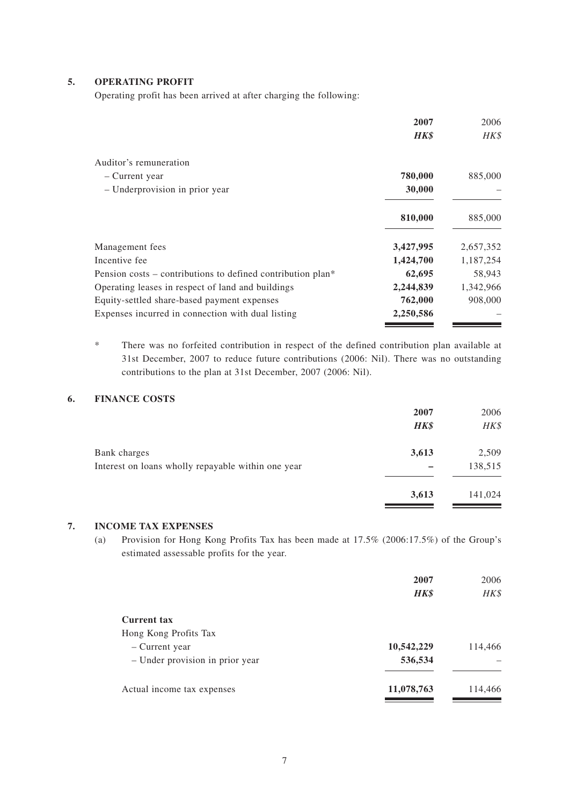## **5. OPERATING PROFIT**

Operating profit has been arrived at after charging the following:

|                                                                         | 2007        | 2006      |
|-------------------------------------------------------------------------|-------------|-----------|
|                                                                         | <b>HK\$</b> | HK\$      |
| Auditor's remuneration                                                  |             |           |
| – Current year                                                          | 780,000     | 885,000   |
| - Underprovision in prior year                                          | 30,000      |           |
|                                                                         | 810,000     | 885,000   |
| Management fees                                                         | 3,427,995   | 2,657,352 |
| Incentive fee                                                           | 1,424,700   | 1,187,254 |
| Pension costs – contributions to defined contribution plan <sup>*</sup> | 62,695      | 58,943    |
| Operating leases in respect of land and buildings                       | 2,244,839   | 1,342,966 |
| Equity-settled share-based payment expenses                             | 762,000     | 908,000   |
| Expenses incurred in connection with dual listing                       | 2,250,586   |           |

\* There was no forfeited contribution in respect of the defined contribution plan available at 31st December, 2007 to reduce future contributions (2006: Nil). There was no outstanding contributions to the plan at 31st December, 2007 (2006: Nil).

## **6. FINANCE COSTS**

| 2007        | 2006    |
|-------------|---------|
| <b>HK\$</b> | HK\$    |
| 3,613       | 2,509   |
|             | 138,515 |
| 3,613       | 141,024 |
|             |         |

### **7. INCOME TAX EXPENSES**

(a) Provision for Hong Kong Profits Tax has been made at 17.5% (2006:17.5%) of the Group's estimated assessable profits for the year.

|                                 | 2007<br><b>HK\$</b> | 2006<br>HK\$ |
|---------------------------------|---------------------|--------------|
| Current tax                     |                     |              |
| Hong Kong Profits Tax           |                     |              |
| - Current year                  | 10,542,229          | 114,466      |
| - Under provision in prior year | 536,534             |              |
| Actual income tax expenses      | 11,078,763          | 114,466      |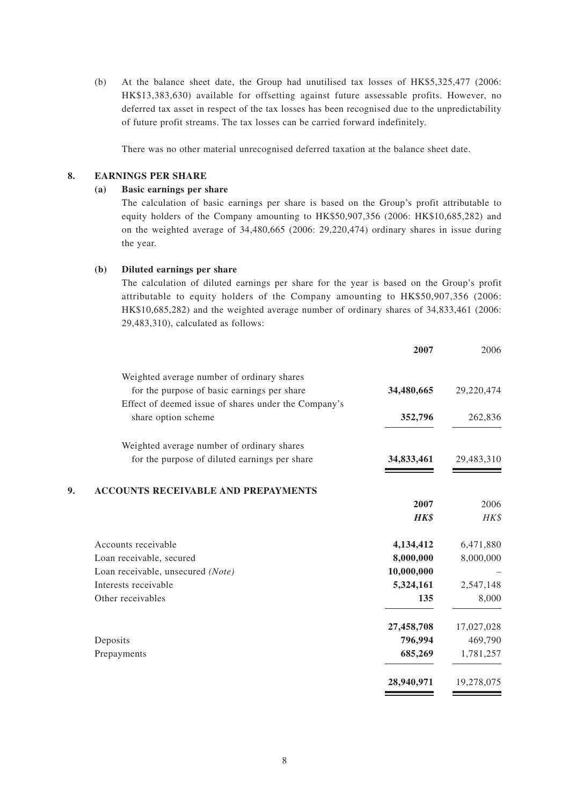(b) At the balance sheet date, the Group had unutilised tax losses of HK\$5,325,477 (2006: HK\$13,383,630) available for offsetting against future assessable profits. However, no deferred tax asset in respect of the tax losses has been recognised due to the unpredictability of future profit streams. The tax losses can be carried forward indefinitely.

There was no other material unrecognised deferred taxation at the balance sheet date.

### **8. EARNINGS PER SHARE**

#### **(a) Basic earnings per share**

The calculation of basic earnings per share is based on the Group's profit attributable to equity holders of the Company amounting to HK\$50,907,356 (2006: HK\$10,685,282) and on the weighted average of 34,480,665 (2006: 29,220,474) ordinary shares in issue during the year.

#### **(b) Diluted earnings per share**

The calculation of diluted earnings per share for the year is based on the Group's profit attributable to equity holders of the Company amounting to HK\$50,907,356 (2006: HK\$10,685,282) and the weighted average number of ordinary shares of 34,833,461 (2006: 29,483,310), calculated as follows:

| 2006       | 2007        |                                                      |    |
|------------|-------------|------------------------------------------------------|----|
|            |             | Weighted average number of ordinary shares           |    |
| 29,220,474 | 34,480,665  | for the purpose of basic earnings per share          |    |
|            |             | Effect of deemed issue of shares under the Company's |    |
| 262,836    | 352,796     | share option scheme                                  |    |
|            |             | Weighted average number of ordinary shares           |    |
| 29,483,310 | 34,833,461  | for the purpose of diluted earnings per share        |    |
|            |             | <b>ACCOUNTS RECEIVABLE AND PREPAYMENTS</b>           | 9. |
| 2006       | 2007        |                                                      |    |
| HK\$       | <b>HK\$</b> |                                                      |    |
| 6,471,880  | 4,134,412   | Accounts receivable                                  |    |
| 8,000,000  | 8,000,000   | Loan receivable, secured                             |    |
|            | 10,000,000  | Loan receivable, unsecured (Note)                    |    |
| 2,547,148  | 5,324,161   | Interests receivable                                 |    |
| 8,000      | 135         | Other receivables                                    |    |
| 17,027,028 | 27,458,708  |                                                      |    |
| 469,790    | 796,994     | Deposits                                             |    |
| 1,781,257  | 685,269     | Prepayments                                          |    |
| 19,278,075 | 28,940,971  |                                                      |    |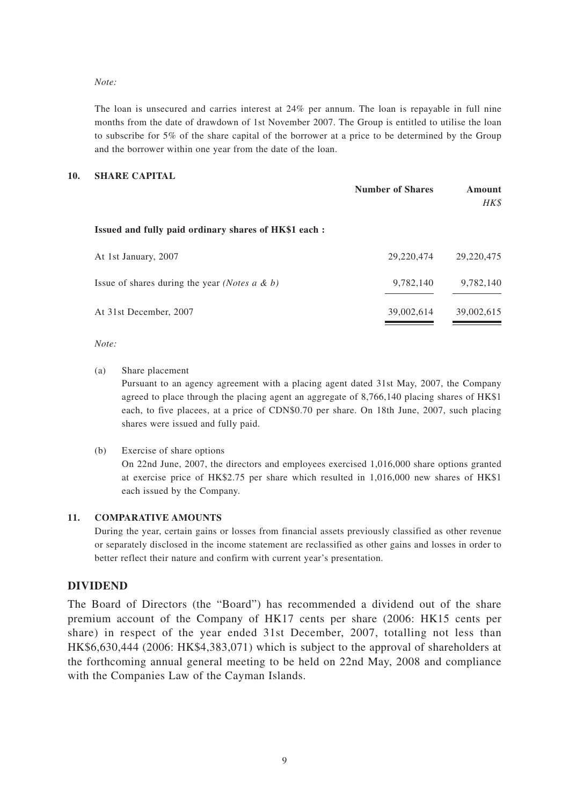*Note:*

The loan is unsecured and carries interest at 24% per annum. The loan is repayable in full nine months from the date of drawdown of 1st November 2007. The Group is entitled to utilise the loan to subscribe for 5% of the share capital of the borrower at a price to be determined by the Group and the borrower within one year from the date of the loan.

### **10. SHARE CAPITAL**

|                                                            | <b>Number of Shares</b> | Amount<br>HK\$ |
|------------------------------------------------------------|-------------------------|----------------|
| Issued and fully paid ordinary shares of HK\$1 each :      |                         |                |
| At 1st January, 2007                                       | 29,220,474              | 29, 220, 475   |
| Issue of shares during the year ( <i>Notes a &amp; b</i> ) | 9,782,140               | 9,782,140      |
| At 31st December, 2007                                     | 39,002,614              | 39,002,615     |

*Note:*

(a) Share placement

Pursuant to an agency agreement with a placing agent dated 31st May, 2007, the Company agreed to place through the placing agent an aggregate of 8,766,140 placing shares of HK\$1 each, to five placees, at a price of CDN\$0.70 per share. On 18th June, 2007, such placing shares were issued and fully paid.

(b) Exercise of share options

On 22nd June, 2007, the directors and employees exercised 1,016,000 share options granted at exercise price of HK\$2.75 per share which resulted in 1,016,000 new shares of HK\$1 each issued by the Company.

#### **11. COMPARATIVE AMOUNTS**

During the year, certain gains or losses from financial assets previously classified as other revenue or separately disclosed in the income statement are reclassified as other gains and losses in order to better reflect their nature and confirm with current year's presentation.

### **DIVIDEND**

The Board of Directors (the "Board") has recommended a dividend out of the share premium account of the Company of HK17 cents per share (2006: HK15 cents per share) in respect of the year ended 31st December, 2007, totalling not less than HK\$6,630,444 (2006: HK\$4,383,071) which is subject to the approval of shareholders at the forthcoming annual general meeting to be held on 22nd May, 2008 and compliance with the Companies Law of the Cayman Islands.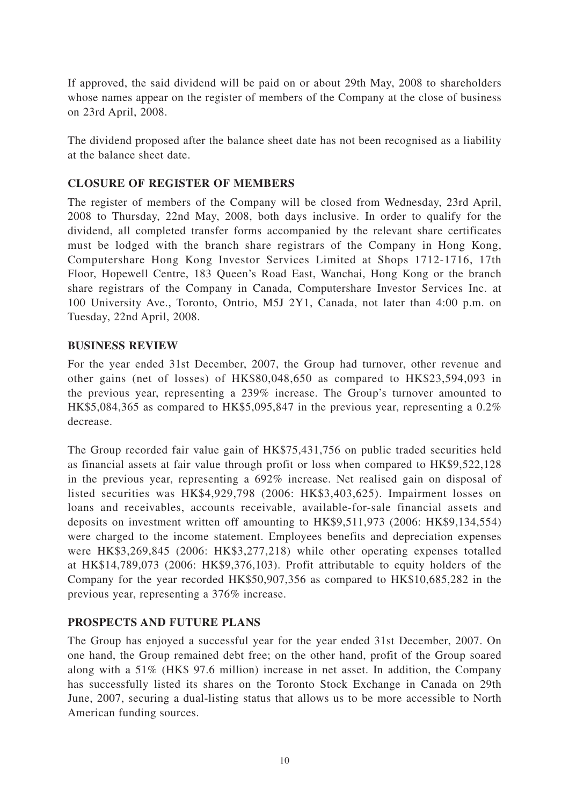If approved, the said dividend will be paid on or about 29th May, 2008 to shareholders whose names appear on the register of members of the Company at the close of business on 23rd April, 2008.

The dividend proposed after the balance sheet date has not been recognised as a liability at the balance sheet date.

## **CLOSURE OF REGISTER OF MEMBERS**

The register of members of the Company will be closed from Wednesday, 23rd April, 2008 to Thursday, 22nd May, 2008, both days inclusive. In order to qualify for the dividend, all completed transfer forms accompanied by the relevant share certificates must be lodged with the branch share registrars of the Company in Hong Kong, Computershare Hong Kong Investor Services Limited at Shops 1712-1716, 17th Floor, Hopewell Centre, 183 Queen's Road East, Wanchai, Hong Kong or the branch share registrars of the Company in Canada, Computershare Investor Services Inc. at 100 University Ave., Toronto, Ontrio, M5J 2Y1, Canada, not later than 4:00 p.m. on Tuesday, 22nd April, 2008.

## **BUSINESS REVIEW**

For the year ended 31st December, 2007, the Group had turnover, other revenue and other gains (net of losses) of HK\$80,048,650 as compared to HK\$23,594,093 in the previous year, representing a 239% increase. The Group's turnover amounted to HK\$5,084,365 as compared to HK\$5,095,847 in the previous year, representing a 0.2% decrease.

The Group recorded fair value gain of HK\$75,431,756 on public traded securities held as financial assets at fair value through profit or loss when compared to HK\$9,522,128 in the previous year, representing a 692% increase. Net realised gain on disposal of listed securities was HK\$4,929,798 (2006: HK\$3,403,625). Impairment losses on loans and receivables, accounts receivable, available-for-sale financial assets and deposits on investment written off amounting to HK\$9,511,973 (2006: HK\$9,134,554) were charged to the income statement. Employees benefits and depreciation expenses were HK\$3,269,845 (2006: HK\$3,277,218) while other operating expenses totalled at HK\$14,789,073 (2006: HK\$9,376,103). Profit attributable to equity holders of the Company for the year recorded HK\$50,907,356 as compared to HK\$10,685,282 in the previous year, representing a 376% increase.

## **PROSPECTS AND FUTURE PLANS**

The Group has enjoyed a successful year for the year ended 31st December, 2007. On one hand, the Group remained debt free; on the other hand, profit of the Group soared along with a 51% (HK\$ 97.6 million) increase in net asset. In addition, the Company has successfully listed its shares on the Toronto Stock Exchange in Canada on 29th June, 2007, securing a dual-listing status that allows us to be more accessible to North American funding sources.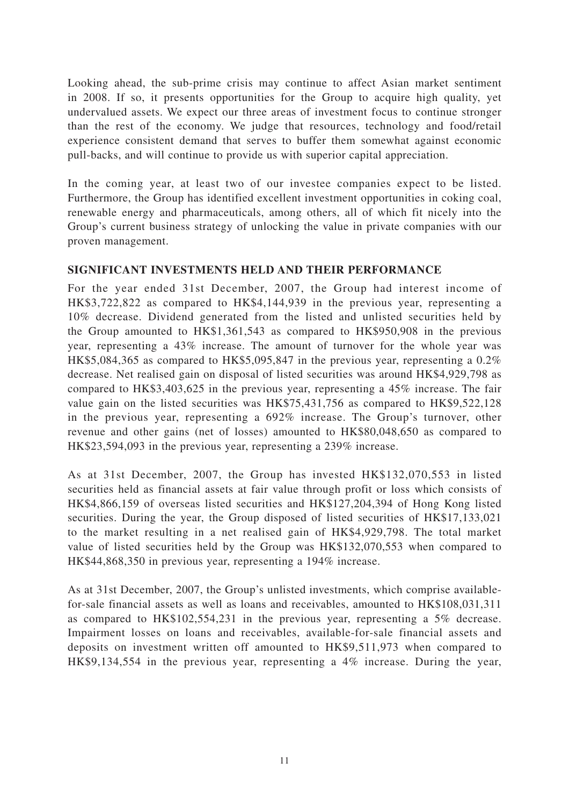Looking ahead, the sub-prime crisis may continue to affect Asian market sentiment in 2008. If so, it presents opportunities for the Group to acquire high quality, yet undervalued assets. We expect our three areas of investment focus to continue stronger than the rest of the economy. We judge that resources, technology and food/retail experience consistent demand that serves to buffer them somewhat against economic pull-backs, and will continue to provide us with superior capital appreciation.

In the coming year, at least two of our investee companies expect to be listed. Furthermore, the Group has identified excellent investment opportunities in coking coal, renewable energy and pharmaceuticals, among others, all of which fit nicely into the Group's current business strategy of unlocking the value in private companies with our proven management.

## **SIGNIFICANT INVESTMENTS HELD AND THEIR PERFORMANCE**

For the year ended 31st December, 2007, the Group had interest income of HK\$3,722,822 as compared to HK\$4,144,939 in the previous year, representing a 10% decrease. Dividend generated from the listed and unlisted securities held by the Group amounted to HK\$1,361,543 as compared to HK\$950,908 in the previous year, representing a 43% increase. The amount of turnover for the whole year was HK\$5,084,365 as compared to HK\$5,095,847 in the previous year, representing a 0.2% decrease. Net realised gain on disposal of listed securities was around HK\$4,929,798 as compared to HK\$3,403,625 in the previous year, representing a 45% increase. The fair value gain on the listed securities was HK\$75,431,756 as compared to HK\$9,522,128 in the previous year, representing a 692% increase. The Group's turnover, other revenue and other gains (net of losses) amounted to HK\$80,048,650 as compared to HK\$23,594,093 in the previous year, representing a 239% increase.

As at 31st December, 2007, the Group has invested HK\$132,070,553 in listed securities held as financial assets at fair value through profit or loss which consists of HK\$4,866,159 of overseas listed securities and HK\$127,204,394 of Hong Kong listed securities. During the year, the Group disposed of listed securities of HK\$17,133,021 to the market resulting in a net realised gain of HK\$4,929,798. The total market value of listed securities held by the Group was HK\$132,070,553 when compared to HK\$44,868,350 in previous year, representing a 194% increase.

As at 31st December, 2007, the Group's unlisted investments, which comprise availablefor-sale financial assets as well as loans and receivables, amounted to HK\$108,031,311 as compared to HK\$102,554,231 in the previous year, representing a 5% decrease. Impairment losses on loans and receivables, available-for-sale financial assets and deposits on investment written off amounted to HK\$9,511,973 when compared to HK\$9,134,554 in the previous year, representing a 4% increase. During the year,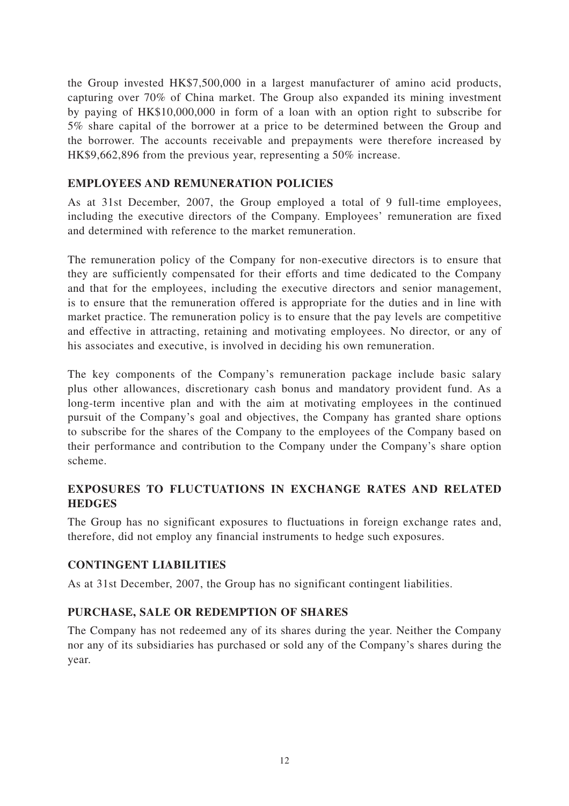the Group invested HK\$7,500,000 in a largest manufacturer of amino acid products, capturing over 70% of China market. The Group also expanded its mining investment by paying of HK\$10,000,000 in form of a loan with an option right to subscribe for 5% share capital of the borrower at a price to be determined between the Group and the borrower. The accounts receivable and prepayments were therefore increased by HK\$9,662,896 from the previous year, representing a 50% increase.

## **EMPLOYEES AND REMUNERATION POLICIES**

As at 31st December, 2007, the Group employed a total of 9 full-time employees, including the executive directors of the Company. Employees' remuneration are fixed and determined with reference to the market remuneration.

The remuneration policy of the Company for non-executive directors is to ensure that they are sufficiently compensated for their efforts and time dedicated to the Company and that for the employees, including the executive directors and senior management, is to ensure that the remuneration offered is appropriate for the duties and in line with market practice. The remuneration policy is to ensure that the pay levels are competitive and effective in attracting, retaining and motivating employees. No director, or any of his associates and executive, is involved in deciding his own remuneration.

The key components of the Company's remuneration package include basic salary plus other allowances, discretionary cash bonus and mandatory provident fund. As a long-term incentive plan and with the aim at motivating employees in the continued pursuit of the Company's goal and objectives, the Company has granted share options to subscribe for the shares of the Company to the employees of the Company based on their performance and contribution to the Company under the Company's share option scheme.

# **EXPOSURES TO FLUCTUATIONS IN EXCHANGE RATES AND RELATED HEDGES**

The Group has no significant exposures to fluctuations in foreign exchange rates and, therefore, did not employ any financial instruments to hedge such exposures.

## **CONTINGENT LIABILITIES**

As at 31st December, 2007, the Group has no significant contingent liabilities.

## **PURCHASE, SALE OR REDEMPTION OF SHARES**

The Company has not redeemed any of its shares during the year. Neither the Company nor any of its subsidiaries has purchased or sold any of the Company's shares during the year.